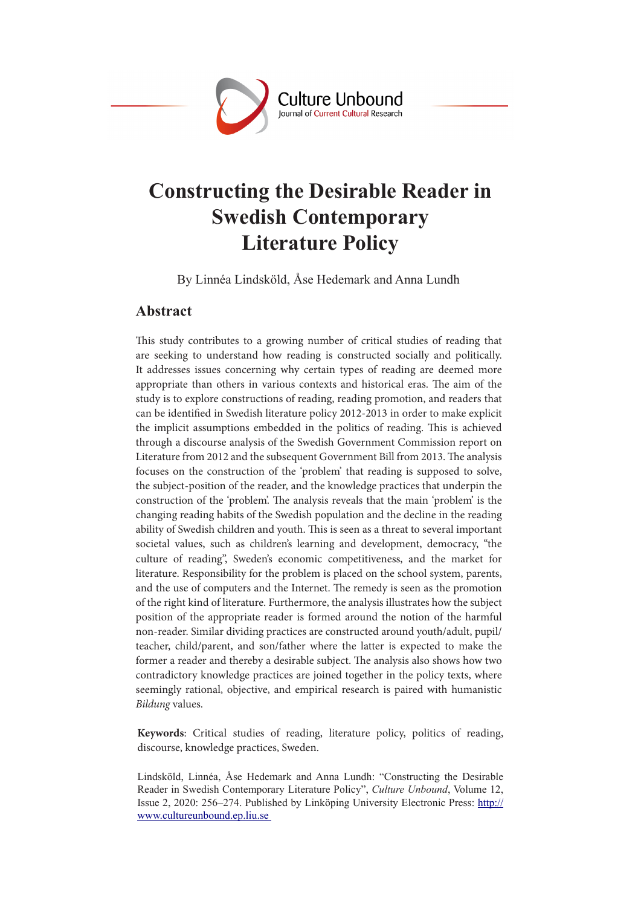

# **Constructing the Desirable Reader in Swedish Contemporary Literature Policy**

By Linnéa Lindsköld, Åse Hedemark and Anna Lundh

# **Abstract**

This study contributes to a growing number of critical studies of reading that are seeking to understand how reading is constructed socially and politically. It addresses issues concerning why certain types of reading are deemed more appropriate than others in various contexts and historical eras. The aim of the study is to explore constructions of reading, reading promotion, and readers that can be identified in Swedish literature policy 2012-2013 in order to make explicit the implicit assumptions embedded in the politics of reading. This is achieved through a discourse analysis of the Swedish Government Commission report on Literature from 2012 and the subsequent Government Bill from 2013. The analysis focuses on the construction of the 'problem' that reading is supposed to solve, the subject-position of the reader, and the knowledge practices that underpin the construction of the 'problem'. The analysis reveals that the main 'problem' is the changing reading habits of the Swedish population and the decline in the reading ability of Swedish children and youth. This is seen as a threat to several important societal values, such as children's learning and development, democracy, "the culture of reading", Sweden's economic competitiveness, and the market for literature. Responsibility for the problem is placed on the school system, parents, and the use of computers and the Internet. The remedy is seen as the promotion of the right kind of literature. Furthermore, the analysis illustrates how the subject position of the appropriate reader is formed around the notion of the harmful non-reader. Similar dividing practices are constructed around youth/adult, pupil/ teacher, child/parent, and son/father where the latter is expected to make the former a reader and thereby a desirable subject. The analysis also shows how two contradictory knowledge practices are joined together in the policy texts, where seemingly rational, objective, and empirical research is paired with humanistic *Bildung* values.

**Keywords**: Critical studies of reading, literature policy, politics of reading, discourse, knowledge practices, Sweden.

Lindsköld, Linnéa, Åse Hedemark and Anna Lundh: "Constructing the Desirable Reader in Swedish Contemporary Literature Policy", *Culture Unbound*, Volume 12, Issue 2, 2020: 256–274. Published by Linköping University Electronic Press: http:// www.cultureunbound.ep.liu.se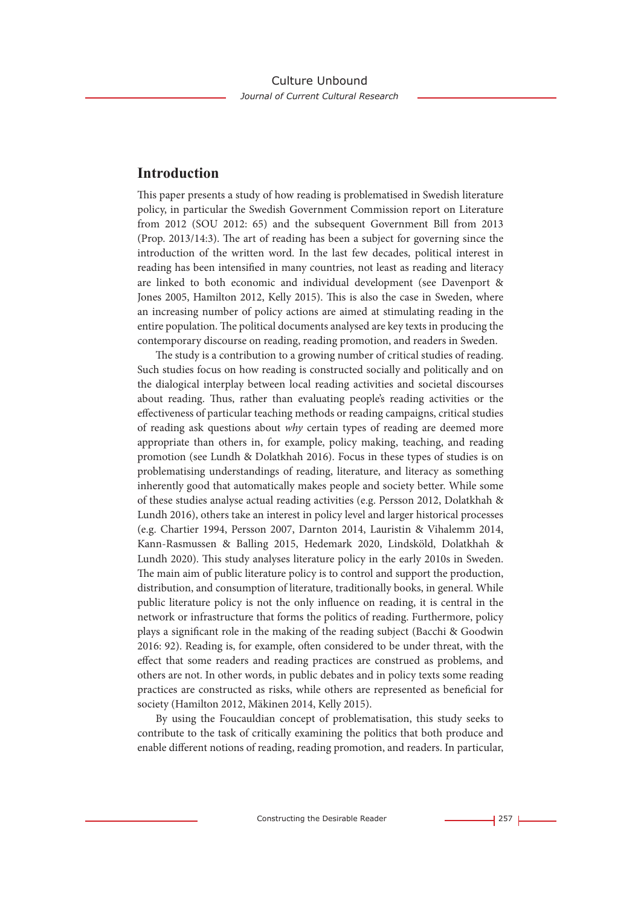# **Introduction**

This paper presents a study of how reading is problematised in Swedish literature policy, in particular the Swedish Government Commission report on Literature from 2012 (SOU 2012: 65) and the subsequent Government Bill from 2013 (Prop. 2013/14:3). The art of reading has been a subject for governing since the introduction of the written word. In the last few decades, political interest in reading has been intensified in many countries, not least as reading and literacy are linked to both economic and individual development (see Davenport & Jones 2005, Hamilton 2012, Kelly 2015). This is also the case in Sweden, where an increasing number of policy actions are aimed at stimulating reading in the entire population. The political documents analysed are key texts in producing the contemporary discourse on reading, reading promotion, and readers in Sweden.

The study is a contribution to a growing number of critical studies of reading. Such studies focus on how reading is constructed socially and politically and on the dialogical interplay between local reading activities and societal discourses about reading. Thus, rather than evaluating people's reading activities or the effectiveness of particular teaching methods or reading campaigns, critical studies of reading ask questions about *why* certain types of reading are deemed more appropriate than others in, for example, policy making, teaching, and reading promotion (see Lundh & Dolatkhah 2016). Focus in these types of studies is on problematising understandings of reading, literature, and literacy as something inherently good that automatically makes people and society better. While some of these studies analyse actual reading activities (e.g. Persson 2012, Dolatkhah & Lundh 2016), others take an interest in policy level and larger historical processes (e.g. Chartier 1994, Persson 2007, Darnton 2014, Lauristin & Vihalemm 2014, Kann-Rasmussen & Balling 2015, Hedemark 2020, Lindsköld, Dolatkhah & Lundh 2020). This study analyses literature policy in the early 2010s in Sweden. The main aim of public literature policy is to control and support the production, distribution, and consumption of literature, traditionally books, in general. While public literature policy is not the only influence on reading, it is central in the network or infrastructure that forms the politics of reading. Furthermore, policy plays a significant role in the making of the reading subject (Bacchi & Goodwin 2016: 92). Reading is, for example, often considered to be under threat, with the effect that some readers and reading practices are construed as problems, and others are not. In other words, in public debates and in policy texts some reading practices are constructed as risks, while others are represented as beneficial for society (Hamilton 2012, Mäkinen 2014, Kelly 2015).

By using the Foucauldian concept of problematisation, this study seeks to contribute to the task of critically examining the politics that both produce and enable different notions of reading, reading promotion, and readers. In particular,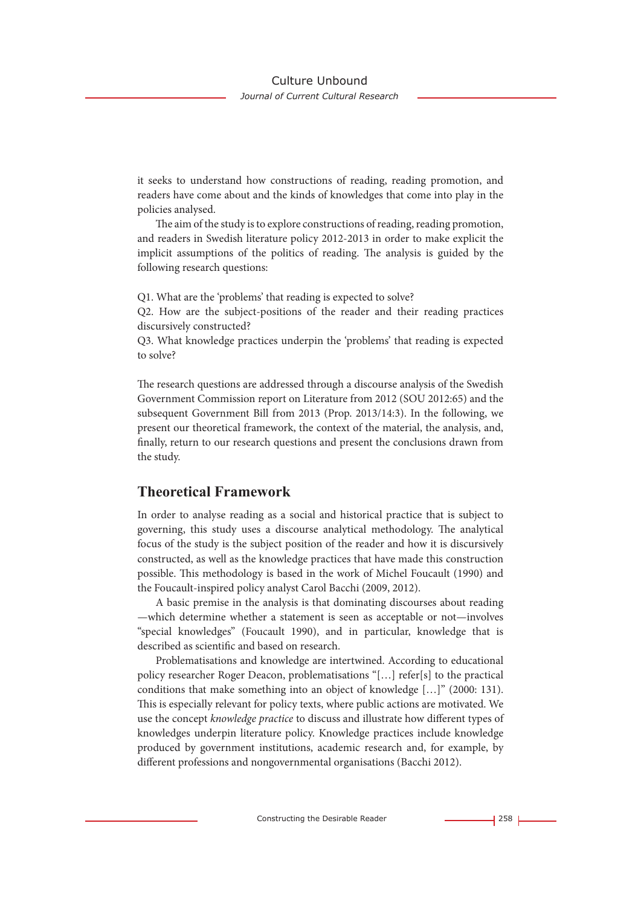it seeks to understand how constructions of reading, reading promotion, and readers have come about and the kinds of knowledges that come into play in the policies analysed.

The aim of the study is to explore constructions of reading, reading promotion, and readers in Swedish literature policy 2012-2013 in order to make explicit the implicit assumptions of the politics of reading. The analysis is guided by the following research questions:

Q1. What are the 'problems' that reading is expected to solve?

Q2. How are the subject-positions of the reader and their reading practices discursively constructed?

Q3. What knowledge practices underpin the 'problems' that reading is expected to solve?

The research questions are addressed through a discourse analysis of the Swedish Government Commission report on Literature from 2012 (SOU 2012:65) and the subsequent Government Bill from 2013 (Prop. 2013/14:3). In the following, we present our theoretical framework, the context of the material, the analysis, and, finally, return to our research questions and present the conclusions drawn from the study.

## **Theoretical Framework**

In order to analyse reading as a social and historical practice that is subject to governing, this study uses a discourse analytical methodology. The analytical focus of the study is the subject position of the reader and how it is discursively constructed, as well as the knowledge practices that have made this construction possible. This methodology is based in the work of Michel Foucault (1990) and the Foucault-inspired policy analyst Carol Bacchi (2009, 2012).

A basic premise in the analysis is that dominating discourses about reading —which determine whether a statement is seen as acceptable or not—involves "special knowledges" (Foucault 1990), and in particular, knowledge that is described as scientific and based on research.

Problematisations and knowledge are intertwined. According to educational policy researcher Roger Deacon, problematisations "[…] refer[s] to the practical conditions that make something into an object of knowledge […]" (2000: 131). This is especially relevant for policy texts, where public actions are motivated. We use the concept *knowledge practice* to discuss and illustrate how different types of knowledges underpin literature policy. Knowledge practices include knowledge produced by government institutions, academic research and, for example, by different professions and nongovernmental organisations (Bacchi 2012).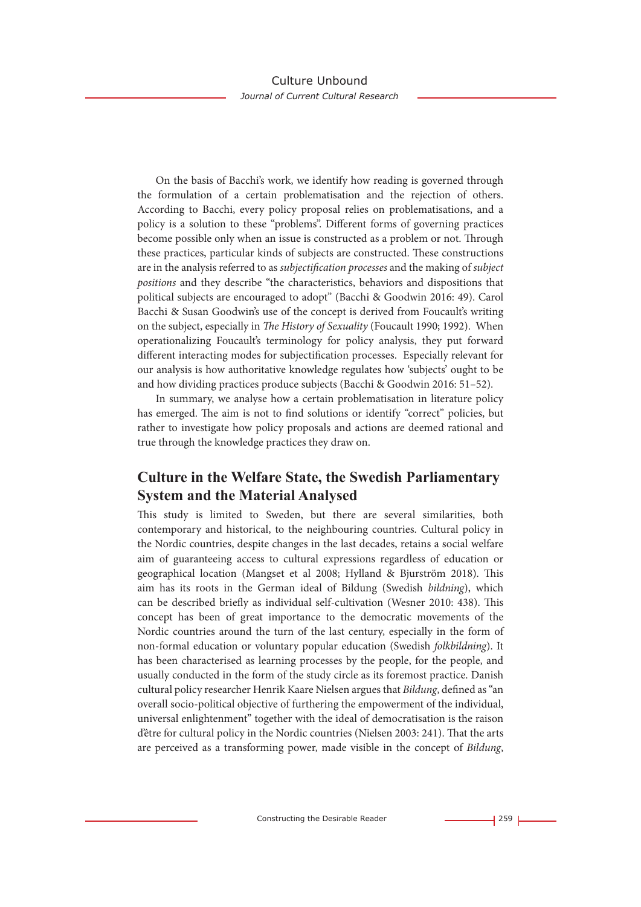On the basis of Bacchi's work, we identify how reading is governed through the formulation of a certain problematisation and the rejection of others. According to Bacchi, every policy proposal relies on problematisations, and a policy is a solution to these "problems". Different forms of governing practices become possible only when an issue is constructed as a problem or not. Through these practices, particular kinds of subjects are constructed. These constructions are in the analysis referred to as *subjectification processes* and the making of *subject positions* and they describe "the characteristics, behaviors and dispositions that political subjects are encouraged to adopt" (Bacchi & Goodwin 2016: 49). Carol Bacchi & Susan Goodwin's use of the concept is derived from Foucault's writing on the subject, especially in *The History of Sexuality* (Foucault 1990; 1992). When operationalizing Foucault's terminology for policy analysis, they put forward different interacting modes for subjectification processes. Especially relevant for our analysis is how authoritative knowledge regulates how 'subjects' ought to be and how dividing practices produce subjects (Bacchi & Goodwin 2016: 51–52).

In summary, we analyse how a certain problematisation in literature policy has emerged. The aim is not to find solutions or identify "correct" policies, but rather to investigate how policy proposals and actions are deemed rational and true through the knowledge practices they draw on.

# **Culture in the Welfare State, the Swedish Parliamentary System and the Material Analysed**

This study is limited to Sweden, but there are several similarities, both contemporary and historical, to the neighbouring countries. Cultural policy in the Nordic countries, despite changes in the last decades, retains a social welfare aim of guaranteeing access to cultural expressions regardless of education or geographical location (Mangset et al 2008; Hylland & Bjurström 2018). This aim has its roots in the German ideal of Bildung (Swedish *bildning*), which can be described briefly as individual self-cultivation (Wesner 2010: 438). This concept has been of great importance to the democratic movements of the Nordic countries around the turn of the last century, especially in the form of non-formal education or voluntary popular education (Swedish *folkbildning*). It has been characterised as learning processes by the people, for the people, and usually conducted in the form of the study circle as its foremost practice. Danish cultural policy researcher Henrik Kaare Nielsen argues that *Bildung*, defined as "an overall socio-political objective of furthering the empowerment of the individual, universal enlightenment" together with the ideal of democratisation is the raison d'être for cultural policy in the Nordic countries (Nielsen 2003: 241). That the arts are perceived as a transforming power, made visible in the concept of *Bildung*,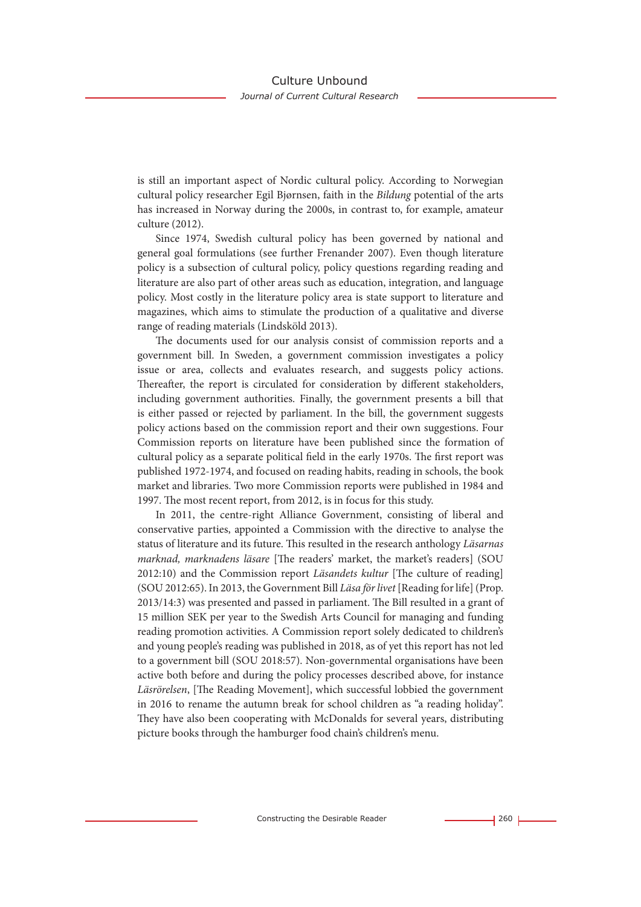is still an important aspect of Nordic cultural policy. According to Norwegian cultural policy researcher Egil Bjørnsen, faith in the *Bildung* potential of the arts has increased in Norway during the 2000s, in contrast to, for example, amateur culture (2012).

Since 1974, Swedish cultural policy has been governed by national and general goal formulations (see further Frenander 2007). Even though literature policy is a subsection of cultural policy, policy questions regarding reading and literature are also part of other areas such as education, integration, and language policy. Most costly in the literature policy area is state support to literature and magazines, which aims to stimulate the production of a qualitative and diverse range of reading materials (Lindsköld 2013).

The documents used for our analysis consist of commission reports and a government bill. In Sweden, a government commission investigates a policy issue or area, collects and evaluates research, and suggests policy actions. Thereafter, the report is circulated for consideration by different stakeholders, including government authorities. Finally, the government presents a bill that is either passed or rejected by parliament. In the bill, the government suggests policy actions based on the commission report and their own suggestions. Four Commission reports on literature have been published since the formation of cultural policy as a separate political field in the early 1970s. The first report was published 1972-1974, and focused on reading habits, reading in schools, the book market and libraries. Two more Commission reports were published in 1984 and 1997. The most recent report, from 2012, is in focus for this study.

In 2011, the centre-right Alliance Government, consisting of liberal and conservative parties, appointed a Commission with the directive to analyse the status of literature and its future. This resulted in the research anthology *Läsarnas marknad, marknadens läsare* [The readers' market, the market's readers] (SOU 2012:10) and the Commission report *Läsandets kultur* [The culture of reading] (SOU 2012:65). In 2013, the Government Bill *Läsa för livet* [Reading for life] (Prop. 2013/14:3) was presented and passed in parliament. The Bill resulted in a grant of 15 million SEK per year to the Swedish Arts Council for managing and funding reading promotion activities. A Commission report solely dedicated to children's and young people's reading was published in 2018, as of yet this report has not led to a government bill (SOU 2018:57). Non-governmental organisations have been active both before and during the policy processes described above, for instance *Läsrörelsen*, [The Reading Movement], which successful lobbied the government in 2016 to rename the autumn break for school children as "a reading holiday". They have also been cooperating with McDonalds for several years, distributing picture books through the hamburger food chain's children's menu.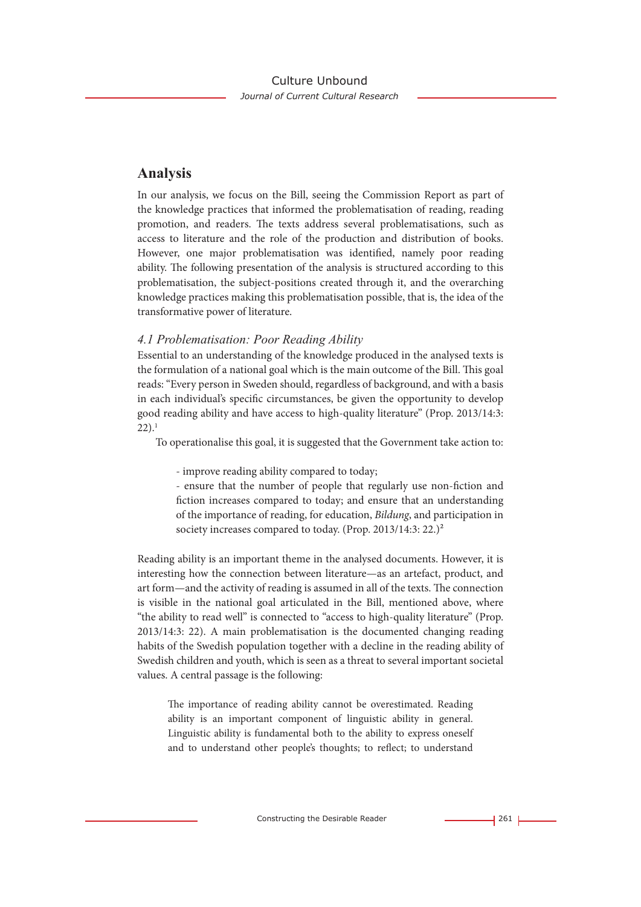# **Analysis**

In our analysis, we focus on the Bill, seeing the Commission Report as part of the knowledge practices that informed the problematisation of reading, reading promotion, and readers. The texts address several problematisations, such as access to literature and the role of the production and distribution of books. However, one major problematisation was identified, namely poor reading ability. The following presentation of the analysis is structured according to this problematisation, the subject-positions created through it, and the overarching knowledge practices making this problematisation possible, that is, the idea of the transformative power of literature.

#### *4.1 Problematisation: Poor Reading Ability*

Essential to an understanding of the knowledge produced in the analysed texts is the formulation of a national goal which is the main outcome of the Bill. This goal reads: "Every person in Sweden should, regardless of background, and with a basis in each individual's specific circumstances, be given the opportunity to develop good reading ability and have access to high-quality literature" (Prop. 2013/14:3:  $22$ ).<sup>1</sup>

To operationalise this goal, it is suggested that the Government take action to:

- improve reading ability compared to today;

- ensure that the number of people that regularly use non-fiction and fiction increases compared to today; and ensure that an understanding of the importance of reading, for education, *Bildung*, and participation in society increases compared to today. (Prop. 2013/14:3: 22.)<sup>2</sup>

Reading ability is an important theme in the analysed documents. However, it is interesting how the connection between literature—as an artefact, product, and art form—and the activity of reading is assumed in all of the texts. The connection is visible in the national goal articulated in the Bill, mentioned above, where "the ability to read well" is connected to "access to high-quality literature" (Prop. 2013/14:3: 22). A main problematisation is the documented changing reading habits of the Swedish population together with a decline in the reading ability of Swedish children and youth, which is seen as a threat to several important societal values. A central passage is the following:

The importance of reading ability cannot be overestimated. Reading ability is an important component of linguistic ability in general. Linguistic ability is fundamental both to the ability to express oneself and to understand other people's thoughts; to reflect; to understand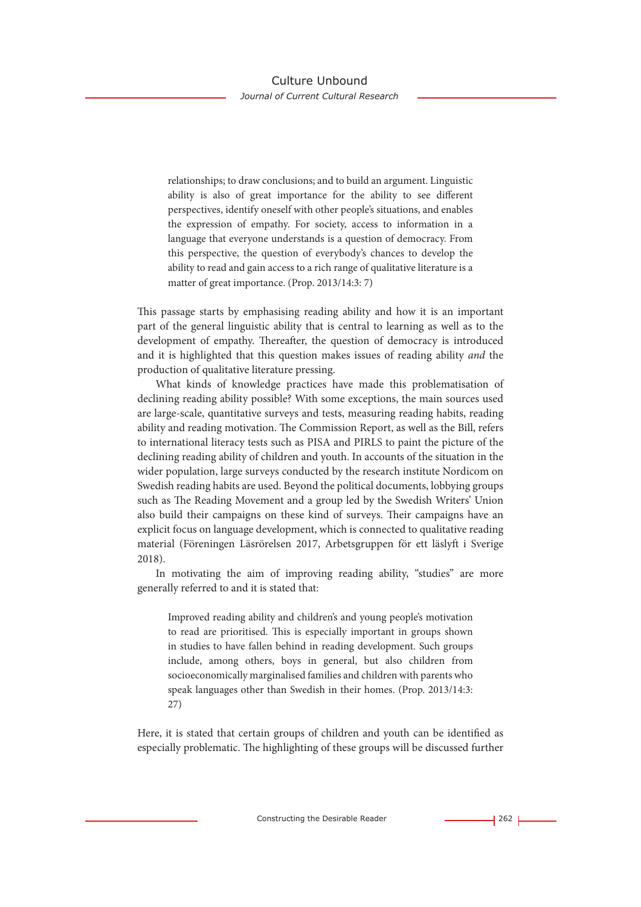relationships; to draw conclusions; and to build an argument. Linguistic ability is also of great importance for the ability to see different perspectives, identify oneself with other people's situations, and enables the expression of empathy. For society, access to information in a language that everyone understands is a question of democracy. From this perspective, the question of everybody's chances to develop the ability to read and gain access to a rich range of qualitative literature is a matter of great importance. (Prop. 2013/14:3: 7)

This passage starts by emphasising reading ability and how it is an important part of the general linguistic ability that is central to learning as well as to the development of empathy. Thereafter, the question of democracy is introduced and it is highlighted that this question makes issues of reading ability *and* the production of qualitative literature pressing.

What kinds of knowledge practices have made this problematisation of declining reading ability possible? With some exceptions, the main sources used are large-scale, quantitative surveys and tests, measuring reading habits, reading ability and reading motivation. The Commission Report, as well as the Bill, refers to international literacy tests such as PISA and PIRLS to paint the picture of the declining reading ability of children and youth. In accounts of the situation in the wider population, large surveys conducted by the research institute Nordicom on Swedish reading habits are used. Beyond the political documents, lobbying groups such as The Reading Movement and a group led by the Swedish Writers' Union also build their campaigns on these kind of surveys. Their campaigns have an explicit focus on language development, which is connected to qualitative reading material (Föreningen Läsrörelsen 2017, Arbetsgruppen för ett läslyft i Sverige 2018).

In motivating the aim of improving reading ability, "studies" are more generally referred to and it is stated that:

Improved reading ability and children's and young people's motivation to read are prioritised. This is especially important in groups shown in studies to have fallen behind in reading development. Such groups include, among others, boys in general, but also children from socioeconomically marginalised families and children with parents who speak languages other than Swedish in their homes. (Prop. 2013/14:3: 27)

Here, it is stated that certain groups of children and youth can be identified as especially problematic. The highlighting of these groups will be discussed further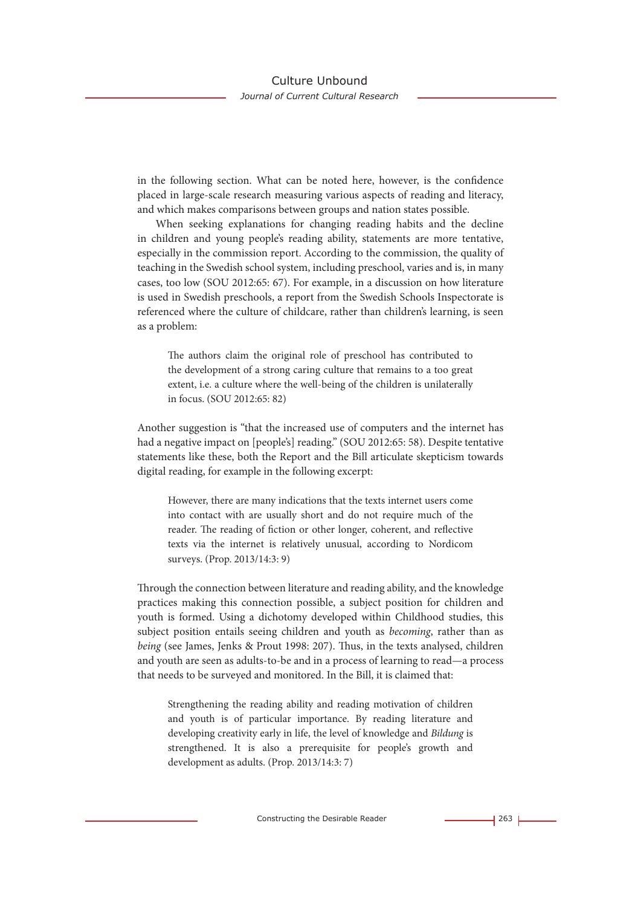in the following section. What can be noted here, however, is the confidence placed in large-scale research measuring various aspects of reading and literacy, and which makes comparisons between groups and nation states possible.

When seeking explanations for changing reading habits and the decline in children and young people's reading ability, statements are more tentative, especially in the commission report. According to the commission, the quality of teaching in the Swedish school system, including preschool, varies and is, in many cases, too low (SOU 2012:65: 67). For example, in a discussion on how literature is used in Swedish preschools, a report from the Swedish Schools Inspectorate is referenced where the culture of childcare, rather than children's learning, is seen as a problem:

The authors claim the original role of preschool has contributed to the development of a strong caring culture that remains to a too great extent, i.e. a culture where the well-being of the children is unilaterally in focus. (SOU 2012:65: 82)

Another suggestion is "that the increased use of computers and the internet has had a negative impact on [people's] reading." (SOU 2012:65: 58). Despite tentative statements like these, both the Report and the Bill articulate skepticism towards digital reading, for example in the following excerpt:

However, there are many indications that the texts internet users come into contact with are usually short and do not require much of the reader. The reading of fiction or other longer, coherent, and reflective texts via the internet is relatively unusual, according to Nordicom surveys. (Prop. 2013/14:3: 9)

Through the connection between literature and reading ability, and the knowledge practices making this connection possible, a subject position for children and youth is formed. Using a dichotomy developed within Childhood studies, this subject position entails seeing children and youth as *becoming*, rather than as *being* (see James, Jenks & Prout 1998: 207). Thus, in the texts analysed, children and youth are seen as adults-to-be and in a process of learning to read—a process that needs to be surveyed and monitored. In the Bill, it is claimed that:

Strengthening the reading ability and reading motivation of children and youth is of particular importance. By reading literature and developing creativity early in life, the level of knowledge and *Bildung* is strengthened. It is also a prerequisite for people's growth and development as adults. (Prop. 2013/14:3: 7)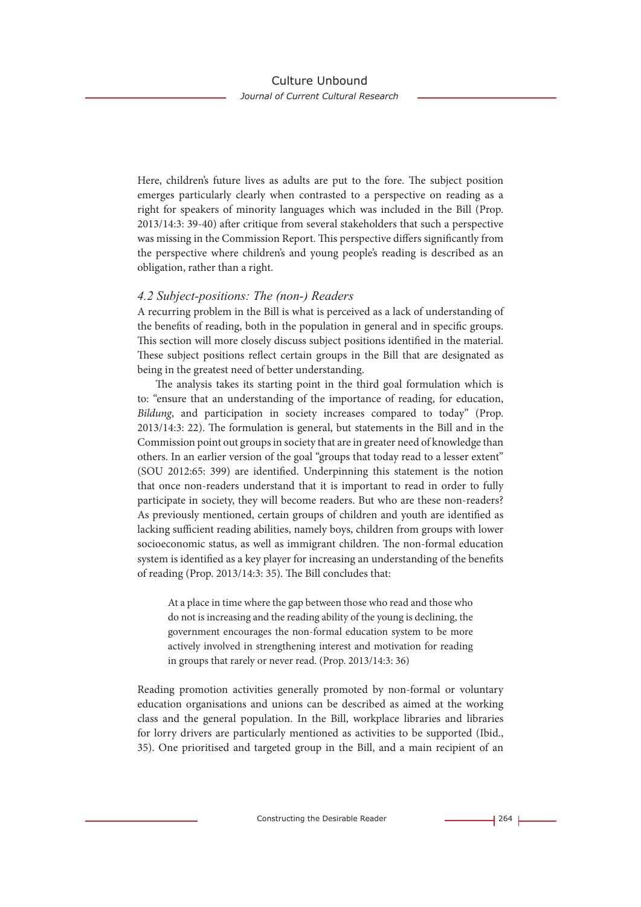Here, children's future lives as adults are put to the fore. The subject position emerges particularly clearly when contrasted to a perspective on reading as a right for speakers of minority languages which was included in the Bill (Prop. 2013/14:3: 39-40) after critique from several stakeholders that such a perspective was missing in the Commission Report. This perspective differs significantly from the perspective where children's and young people's reading is described as an obligation, rather than a right.

#### *4.2 Subject-positions: The (non-) Readers*

A recurring problem in the Bill is what is perceived as a lack of understanding of the benefits of reading, both in the population in general and in specific groups. This section will more closely discuss subject positions identified in the material. These subject positions reflect certain groups in the Bill that are designated as being in the greatest need of better understanding.

The analysis takes its starting point in the third goal formulation which is to: "ensure that an understanding of the importance of reading, for education, *Bildung*, and participation in society increases compared to today" (Prop. 2013/14:3: 22). The formulation is general, but statements in the Bill and in the Commission point out groups in society that are in greater need of knowledge than others. In an earlier version of the goal "groups that today read to a lesser extent" (SOU 2012:65: 399) are identified. Underpinning this statement is the notion that once non-readers understand that it is important to read in order to fully participate in society, they will become readers. But who are these non-readers? As previously mentioned, certain groups of children and youth are identified as lacking sufficient reading abilities, namely boys, children from groups with lower socioeconomic status, as well as immigrant children. The non-formal education system is identified as a key player for increasing an understanding of the benefits of reading (Prop. 2013/14:3: 35). The Bill concludes that:

At a place in time where the gap between those who read and those who do not is increasing and the reading ability of the young is declining, the government encourages the non-formal education system to be more actively involved in strengthening interest and motivation for reading in groups that rarely or never read. (Prop. 2013/14:3: 36)

Reading promotion activities generally promoted by non-formal or voluntary education organisations and unions can be described as aimed at the working class and the general population. In the Bill, workplace libraries and libraries for lorry drivers are particularly mentioned as activities to be supported (Ibid., 35). One prioritised and targeted group in the Bill, and a main recipient of an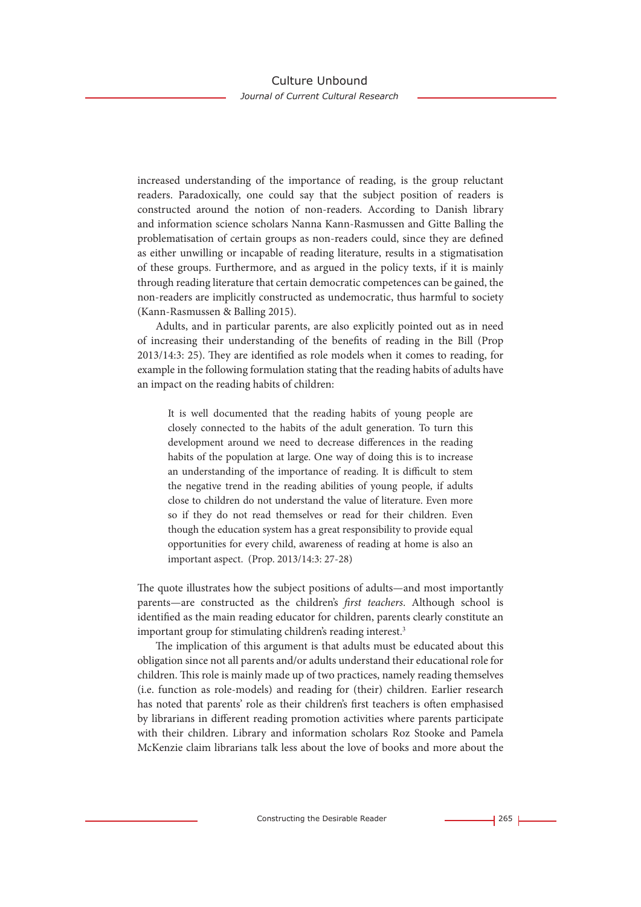increased understanding of the importance of reading, is the group reluctant readers. Paradoxically, one could say that the subject position of readers is constructed around the notion of non-readers. According to Danish library and information science scholars Nanna Kann-Rasmussen and Gitte Balling the problematisation of certain groups as non-readers could, since they are defined as either unwilling or incapable of reading literature, results in a stigmatisation of these groups. Furthermore, and as argued in the policy texts, if it is mainly through reading literature that certain democratic competences can be gained, the non-readers are implicitly constructed as undemocratic, thus harmful to society (Kann-Rasmussen & Balling 2015).

Adults, and in particular parents, are also explicitly pointed out as in need of increasing their understanding of the benefits of reading in the Bill (Prop 2013/14:3: 25). They are identified as role models when it comes to reading, for example in the following formulation stating that the reading habits of adults have an impact on the reading habits of children:

It is well documented that the reading habits of young people are closely connected to the habits of the adult generation. To turn this development around we need to decrease differences in the reading habits of the population at large. One way of doing this is to increase an understanding of the importance of reading. It is difficult to stem the negative trend in the reading abilities of young people, if adults close to children do not understand the value of literature. Even more so if they do not read themselves or read for their children. Even though the education system has a great responsibility to provide equal opportunities for every child, awareness of reading at home is also an important aspect. (Prop. 2013/14:3: 27-28)

The quote illustrates how the subject positions of adults—and most importantly parents—are constructed as the children's *first teachers*. Although school is identified as the main reading educator for children, parents clearly constitute an important group for stimulating children's reading interest.<sup>3</sup>

The implication of this argument is that adults must be educated about this obligation since not all parents and/or adults understand their educational role for children. This role is mainly made up of two practices, namely reading themselves (i.e. function as role-models) and reading for (their) children. Earlier research has noted that parents' role as their children's first teachers is often emphasised by librarians in different reading promotion activities where parents participate with their children. Library and information scholars Roz Stooke and Pamela McKenzie claim librarians talk less about the love of books and more about the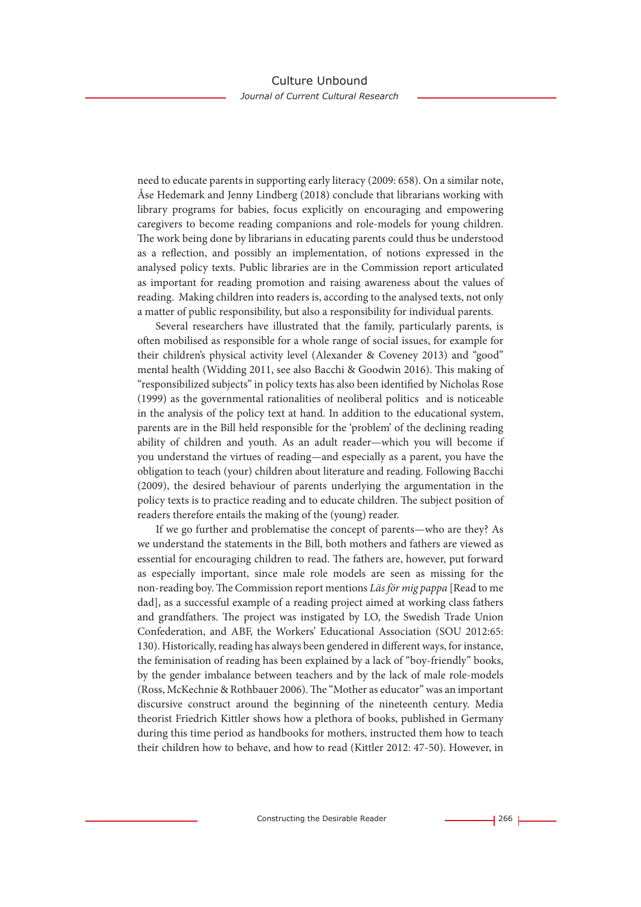need to educate parents in supporting early literacy (2009: 658). On a similar note, Åse Hedemark and Jenny Lindberg (2018) conclude that librarians working with library programs for babies, focus explicitly on encouraging and empowering caregivers to become reading companions and role-models for young children. The work being done by librarians in educating parents could thus be understood as a reflection, and possibly an implementation, of notions expressed in the analysed policy texts. Public libraries are in the Commission report articulated as important for reading promotion and raising awareness about the values of reading. Making children into readers is, according to the analysed texts, not only a matter of public responsibility, but also a responsibility for individual parents.

Several researchers have illustrated that the family, particularly parents, is often mobilised as responsible for a whole range of social issues, for example for their children's physical activity level (Alexander & Coveney 2013) and "good" mental health (Widding 2011, see also Bacchi & Goodwin 2016). This making of "responsibilized subjects" in policy texts has also been identified by Nicholas Rose (1999) as the governmental rationalities of neoliberal politics and is noticeable in the analysis of the policy text at hand. In addition to the educational system, parents are in the Bill held responsible for the 'problem' of the declining reading ability of children and youth. As an adult reader—which you will become if you understand the virtues of reading—and especially as a parent, you have the obligation to teach (your) children about literature and reading. Following Bacchi (2009), the desired behaviour of parents underlying the argumentation in the policy texts is to practice reading and to educate children. The subject position of readers therefore entails the making of the (young) reader.

If we go further and problematise the concept of parents—who are they? As we understand the statements in the Bill, both mothers and fathers are viewed as essential for encouraging children to read. The fathers are, however, put forward as especially important, since male role models are seen as missing for the non-reading boy. The Commission report mentions *Läs för mig pappa* [Read to me dad], as a successful example of a reading project aimed at working class fathers and grandfathers. The project was instigated by LO, the Swedish Trade Union Confederation, and ABF, the Workers' Educational Association (SOU 2012:65: 130). Historically, reading has always been gendered in different ways, for instance, the feminisation of reading has been explained by a lack of "boy-friendly" books, by the gender imbalance between teachers and by the lack of male role-models (Ross, McKechnie & Rothbauer 2006). The "Mother as educator" was an important discursive construct around the beginning of the nineteenth century. Media theorist Friedrich Kittler shows how a plethora of books, published in Germany during this time period as handbooks for mothers, instructed them how to teach their children how to behave, and how to read (Kittler 2012: 47-50). However, in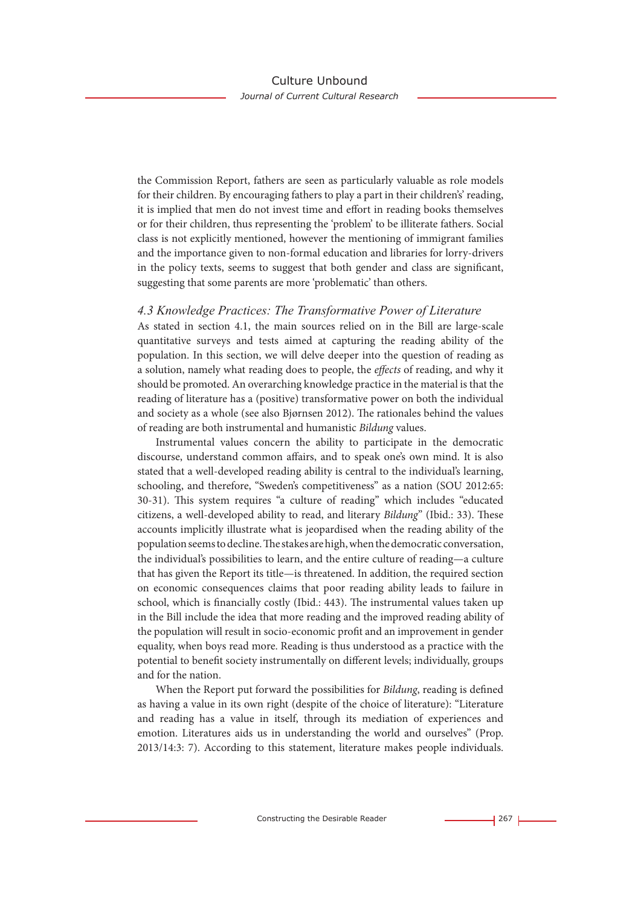the Commission Report, fathers are seen as particularly valuable as role models for their children. By encouraging fathers to play a part in their children's' reading, it is implied that men do not invest time and effort in reading books themselves or for their children, thus representing the 'problem' to be illiterate fathers. Social class is not explicitly mentioned, however the mentioning of immigrant families and the importance given to non-formal education and libraries for lorry-drivers in the policy texts, seems to suggest that both gender and class are significant, suggesting that some parents are more 'problematic' than others.

#### *4.3 Knowledge Practices: The Transformative Power of Literature*

As stated in section 4.1, the main sources relied on in the Bill are large-scale quantitative surveys and tests aimed at capturing the reading ability of the population. In this section, we will delve deeper into the question of reading as a solution, namely what reading does to people, the *effects* of reading, and why it should be promoted. An overarching knowledge practice in the material is that the reading of literature has a (positive) transformative power on both the individual and society as a whole (see also Bjørnsen 2012). The rationales behind the values of reading are both instrumental and humanistic *Bildung* values.

Instrumental values concern the ability to participate in the democratic discourse, understand common affairs, and to speak one's own mind. It is also stated that a well-developed reading ability is central to the individual's learning, schooling, and therefore, "Sweden's competitiveness" as a nation (SOU 2012:65: 30-31). This system requires "a culture of reading" which includes "educated citizens, a well-developed ability to read, and literary *Bildung*" (Ibid.: 33). These accounts implicitly illustrate what is jeopardised when the reading ability of the population seems to decline. The stakes are high, when the democratic conversation, the individual's possibilities to learn, and the entire culture of reading—a culture that has given the Report its title—is threatened. In addition, the required section on economic consequences claims that poor reading ability leads to failure in school, which is financially costly (Ibid.: 443). The instrumental values taken up in the Bill include the idea that more reading and the improved reading ability of the population will result in socio-economic profit and an improvement in gender equality, when boys read more. Reading is thus understood as a practice with the potential to benefit society instrumentally on different levels; individually, groups and for the nation.

When the Report put forward the possibilities for *Bildung*, reading is defined as having a value in its own right (despite of the choice of literature): "Literature and reading has a value in itself, through its mediation of experiences and emotion. Literatures aids us in understanding the world and ourselves" (Prop. 2013/14:3: 7). According to this statement, literature makes people individuals.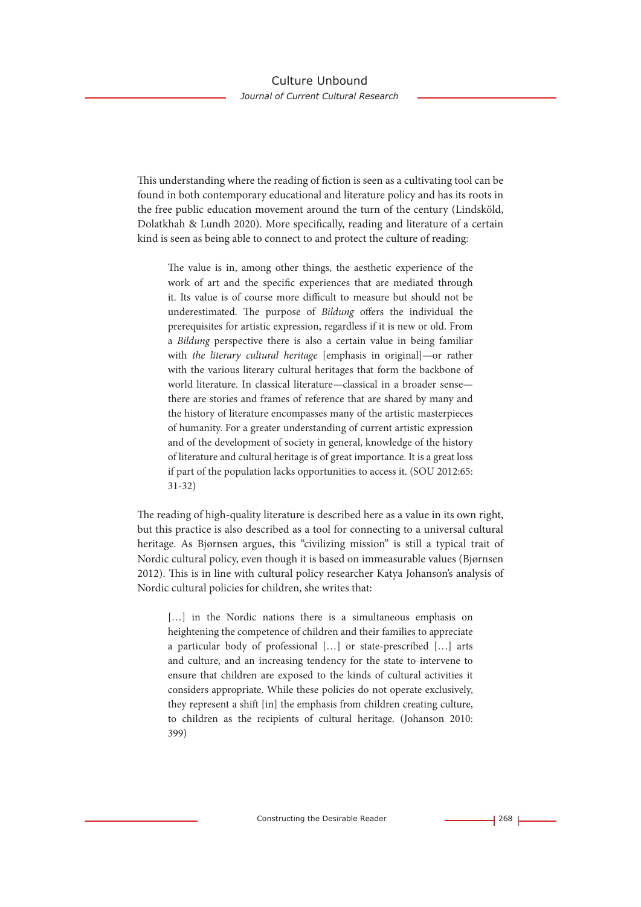This understanding where the reading of fiction is seen as a cultivating tool can be found in both contemporary educational and literature policy and has its roots in the free public education movement around the turn of the century (Lindsköld, Dolatkhah & Lundh 2020). More specifically, reading and literature of a certain kind is seen as being able to connect to and protect the culture of reading:

The value is in, among other things, the aesthetic experience of the work of art and the specific experiences that are mediated through it. Its value is of course more difficult to measure but should not be underestimated. The purpose of *Bildung* offers the individual the prerequisites for artistic expression, regardless if it is new or old. From a *Bildung* perspective there is also a certain value in being familiar with *the literary cultural heritage* [emphasis in original]—or rather with the various literary cultural heritages that form the backbone of world literature. In classical literature—classical in a broader sense there are stories and frames of reference that are shared by many and the history of literature encompasses many of the artistic masterpieces of humanity. For a greater understanding of current artistic expression and of the development of society in general, knowledge of the history of literature and cultural heritage is of great importance. It is a great loss if part of the population lacks opportunities to access it. (SOU 2012:65: 31-32)

The reading of high-quality literature is described here as a value in its own right, but this practice is also described as a tool for connecting to a universal cultural heritage. As Bjørnsen argues, this "civilizing mission" is still a typical trait of Nordic cultural policy, even though it is based on immeasurable values (Bjørnsen 2012). This is in line with cultural policy researcher Katya Johanson's analysis of Nordic cultural policies for children, she writes that:

[...] in the Nordic nations there is a simultaneous emphasis on heightening the competence of children and their families to appreciate a particular body of professional […] or state-prescribed […] arts and culture, and an increasing tendency for the state to intervene to ensure that children are exposed to the kinds of cultural activities it considers appropriate. While these policies do not operate exclusively, they represent a shift [in] the emphasis from children creating culture, to children as the recipients of cultural heritage. (Johanson 2010: 399)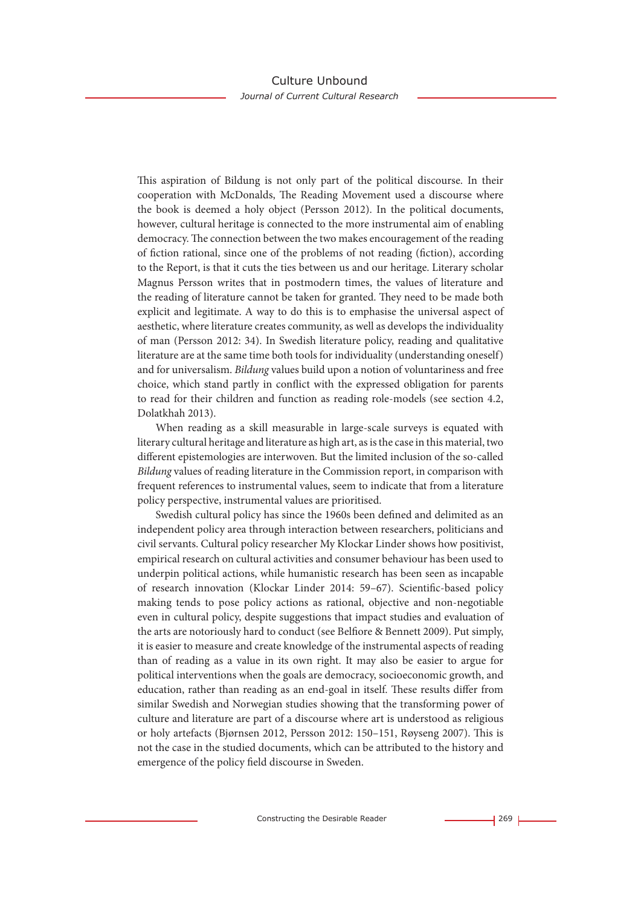This aspiration of Bildung is not only part of the political discourse. In their cooperation with McDonalds, The Reading Movement used a discourse where the book is deemed a holy object (Persson 2012). In the political documents, however, cultural heritage is connected to the more instrumental aim of enabling democracy. The connection between the two makes encouragement of the reading of fiction rational, since one of the problems of not reading (fiction), according to the Report, is that it cuts the ties between us and our heritage. Literary scholar Magnus Persson writes that in postmodern times, the values of literature and the reading of literature cannot be taken for granted. They need to be made both explicit and legitimate. A way to do this is to emphasise the universal aspect of aesthetic, where literature creates community, as well as develops the individuality of man (Persson 2012: 34). In Swedish literature policy, reading and qualitative literature are at the same time both tools for individuality (understanding oneself) and for universalism. *Bildung* values build upon a notion of voluntariness and free choice, which stand partly in conflict with the expressed obligation for parents to read for their children and function as reading role-models (see section 4.2, Dolatkhah 2013).

When reading as a skill measurable in large-scale surveys is equated with literary cultural heritage and literature as high art, as is the case in this material, two different epistemologies are interwoven. But the limited inclusion of the so-called *Bildung* values of reading literature in the Commission report, in comparison with frequent references to instrumental values, seem to indicate that from a literature policy perspective, instrumental values are prioritised.

Swedish cultural policy has since the 1960s been defined and delimited as an independent policy area through interaction between researchers, politicians and civil servants. Cultural policy researcher My Klockar Linder shows how positivist, empirical research on cultural activities and consumer behaviour has been used to underpin political actions, while humanistic research has been seen as incapable of research innovation (Klockar Linder 2014: 59–67). Scientific-based policy making tends to pose policy actions as rational, objective and non-negotiable even in cultural policy, despite suggestions that impact studies and evaluation of the arts are notoriously hard to conduct (see Belfiore & Bennett 2009). Put simply, it is easier to measure and create knowledge of the instrumental aspects of reading than of reading as a value in its own right. It may also be easier to argue for political interventions when the goals are democracy, socioeconomic growth, and education, rather than reading as an end-goal in itself. These results differ from similar Swedish and Norwegian studies showing that the transforming power of culture and literature are part of a discourse where art is understood as religious or holy artefacts (Bjørnsen 2012, Persson 2012: 150–151, Røyseng 2007). This is not the case in the studied documents, which can be attributed to the history and emergence of the policy field discourse in Sweden.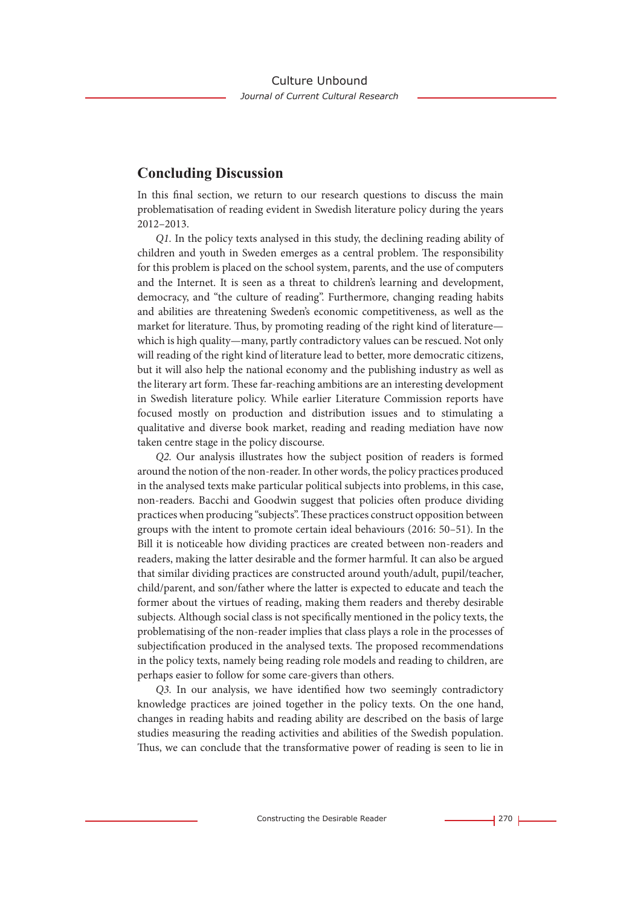## **Concluding Discussion**

In this final section, we return to our research questions to discuss the main problematisation of reading evident in Swedish literature policy during the years 2012–2013.

*Q1.* In the policy texts analysed in this study, the declining reading ability of children and youth in Sweden emerges as a central problem. The responsibility for this problem is placed on the school system, parents, and the use of computers and the Internet. It is seen as a threat to children's learning and development, democracy, and "the culture of reading". Furthermore, changing reading habits and abilities are threatening Sweden's economic competitiveness, as well as the market for literature. Thus, by promoting reading of the right kind of literature which is high quality—many, partly contradictory values can be rescued. Not only will reading of the right kind of literature lead to better, more democratic citizens, but it will also help the national economy and the publishing industry as well as the literary art form. These far-reaching ambitions are an interesting development in Swedish literature policy. While earlier Literature Commission reports have focused mostly on production and distribution issues and to stimulating a qualitative and diverse book market, reading and reading mediation have now taken centre stage in the policy discourse.

*Q2.* Our analysis illustrates how the subject position of readers is formed around the notion of the non-reader. In other words, the policy practices produced in the analysed texts make particular political subjects into problems, in this case, non-readers. Bacchi and Goodwin suggest that policies often produce dividing practices when producing "subjects". These practices construct opposition between groups with the intent to promote certain ideal behaviours (2016: 50–51). In the Bill it is noticeable how dividing practices are created between non-readers and readers, making the latter desirable and the former harmful. It can also be argued that similar dividing practices are constructed around youth/adult, pupil/teacher, child/parent, and son/father where the latter is expected to educate and teach the former about the virtues of reading, making them readers and thereby desirable subjects. Although social class is not specifically mentioned in the policy texts, the problematising of the non-reader implies that class plays a role in the processes of subjectification produced in the analysed texts. The proposed recommendations in the policy texts, namely being reading role models and reading to children, are perhaps easier to follow for some care-givers than others.

*Q3.* In our analysis, we have identified how two seemingly contradictory knowledge practices are joined together in the policy texts. On the one hand, changes in reading habits and reading ability are described on the basis of large studies measuring the reading activities and abilities of the Swedish population. Thus, we can conclude that the transformative power of reading is seen to lie in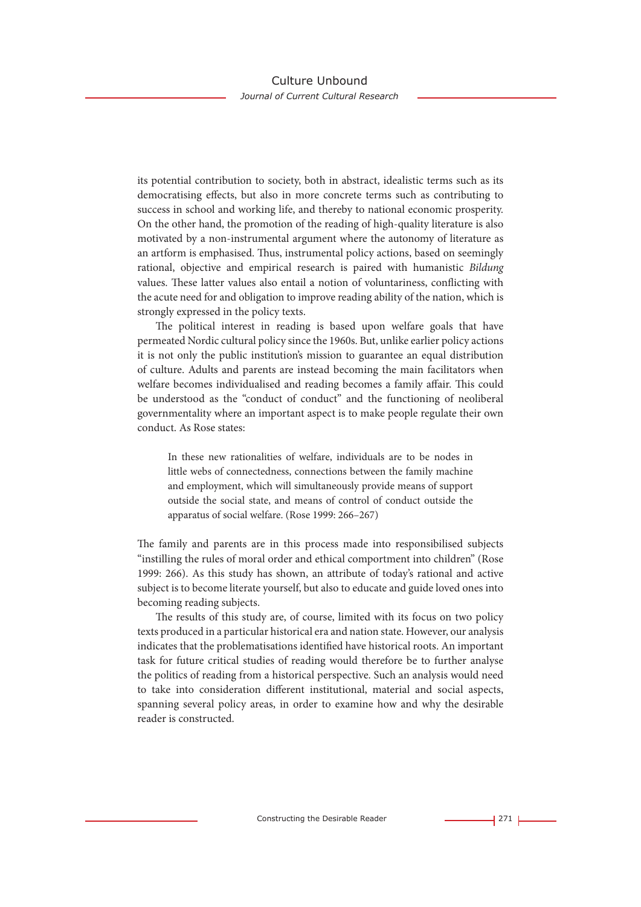its potential contribution to society, both in abstract, idealistic terms such as its democratising effects, but also in more concrete terms such as contributing to success in school and working life, and thereby to national economic prosperity. On the other hand, the promotion of the reading of high-quality literature is also motivated by a non-instrumental argument where the autonomy of literature as an artform is emphasised. Thus, instrumental policy actions, based on seemingly rational, objective and empirical research is paired with humanistic *Bildung* values. These latter values also entail a notion of voluntariness, conflicting with the acute need for and obligation to improve reading ability of the nation, which is strongly expressed in the policy texts.

The political interest in reading is based upon welfare goals that have permeated Nordic cultural policy since the 1960s. But, unlike earlier policy actions it is not only the public institution's mission to guarantee an equal distribution of culture. Adults and parents are instead becoming the main facilitators when welfare becomes individualised and reading becomes a family affair. This could be understood as the "conduct of conduct" and the functioning of neoliberal governmentality where an important aspect is to make people regulate their own conduct. As Rose states:

In these new rationalities of welfare, individuals are to be nodes in little webs of connectedness, connections between the family machine and employment, which will simultaneously provide means of support outside the social state, and means of control of conduct outside the apparatus of social welfare. (Rose 1999: 266–267)

The family and parents are in this process made into responsibilised subjects "instilling the rules of moral order and ethical comportment into children" (Rose 1999: 266). As this study has shown, an attribute of today's rational and active subject is to become literate yourself, but also to educate and guide loved ones into becoming reading subjects.

The results of this study are, of course, limited with its focus on two policy texts produced in a particular historical era and nation state. However, our analysis indicates that the problematisations identified have historical roots. An important task for future critical studies of reading would therefore be to further analyse the politics of reading from a historical perspective. Such an analysis would need to take into consideration different institutional, material and social aspects, spanning several policy areas, in order to examine how and why the desirable reader is constructed.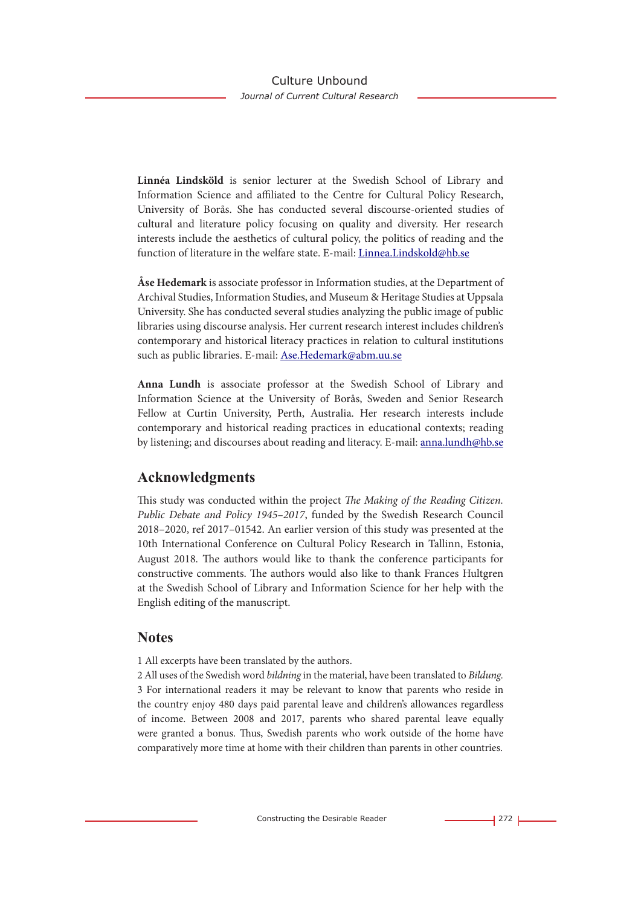**Linnéa Lindsköld** is senior lecturer at the Swedish School of Library and Information Science and affiliated to the Centre for Cultural Policy Research, University of Borås. She has conducted several discourse-oriented studies of cultural and literature policy focusing on quality and diversity. Her research interests include the aesthetics of cultural policy, the politics of reading and the function of literature in the welfare state. E-mail: Linnea.Lindskold@hb.se

**Åse Hedemark** is associate professor in Information studies, at the Department of Archival Studies, Information Studies, and Museum & Heritage Studies at Uppsala University. She has conducted several studies analyzing the public image of public libraries using discourse analysis. Her current research interest includes children's contemporary and historical literacy practices in relation to cultural institutions such as public libraries. E-mail: Ase.Hedemark@abm.uu.se

**Anna Lundh** is associate professor at the Swedish School of Library and Information Science at the University of Borås, Sweden and Senior Research Fellow at Curtin University, Perth, Australia. Her research interests include contemporary and historical reading practices in educational contexts; reading by listening; and discourses about reading and literacy. E-mail: anna.lundh@hb.se

# **Acknowledgments**

This study was conducted within the project *The Making of the Reading Citizen. Public Debate and Policy 1945–2017*, funded by the Swedish Research Council 2018–2020, ref 2017–01542. An earlier version of this study was presented at the 10th International Conference on Cultural Policy Research in Tallinn, Estonia, August 2018. The authors would like to thank the conference participants for constructive comments. The authors would also like to thank Frances Hultgren at the Swedish School of Library and Information Science for her help with the English editing of the manuscript.

# **Notes**

1 All excerpts have been translated by the authors.

2 All uses of the Swedish word *bildning* in the material, have been translated to *Bildung.* 3 For international readers it may be relevant to know that parents who reside in the country enjoy 480 days paid parental leave and children's allowances regardless of income. Between 2008 and 2017, parents who shared parental leave equally were granted a bonus. Thus, Swedish parents who work outside of the home have comparatively more time at home with their children than parents in other countries.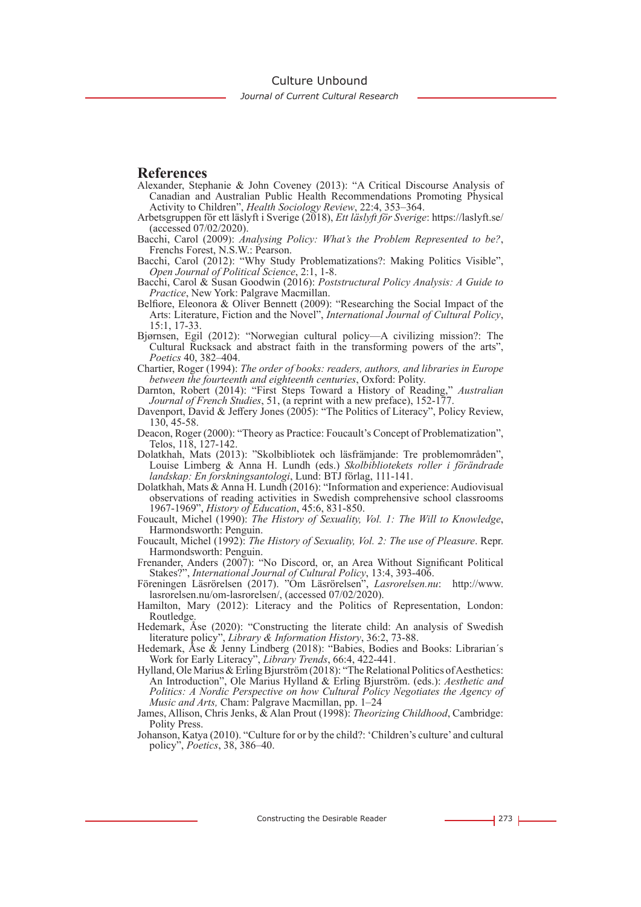Culture Unbound

#### **References**

- Alexander, Stephanie & John Coveney (2013): "A Critical Discourse Analysis of Canadian and Australian Public Health Recommendations Promoting Physical Activity to Children", *Health Sociology Review*, 22:4, 353–364.
- Arbetsgruppen för ett läslyft i Sverige (2018), *Ett läslyft för Sverige*: https://laslyft.se/ (accessed 07/02/2020).
- Bacchi, Carol (2009): *Analysing Policy: What's the Problem Represented to be?*, Frenchs Forest, N.S.W.: Pearson.
- Bacchi, Carol (2012): "Why Study Problematizations?: Making Politics Visible", *Open Journal of Political Science*, 2:1, 1-8.
- Bacchi, Carol & Susan Goodwin (2016): *Poststructural Policy Analysis: A Guide to Practice*, New York: Palgrave Macmillan.
- Belfiore, Eleonora & Oliver Bennett (2009): "Researching the Social Impact of the Arts: Literature, Fiction and the Novel", *International Journal of Cultural Policy*, 15:1, 17-33.
- Bjørnsen, Egil (2012): "Norwegian cultural policy—A civilizing mission?: The Cultural Rucksack and abstract faith in the transforming powers of the arts", *Poetics* 40, 382–404.
- Chartier, Roger (1994): *The order of books: readers, authors, and libraries in Europe between the fourteenth and eighteenth centuries*, Oxford: Polity.
- Darnton, Robert (2014): "First Steps Toward a History of Reading," *Australian Journal of French Studies*, 51, (a reprint with a new preface), 152-177.
- Davenport, David & Jeffery Jones (2005): "The Politics of Literacy", Policy Review, 130, 45-58.
- Deacon, Roger (2000): "Theory as Practice: Foucault's Concept of Problematization", Telos, 118, 127-142.
- Dolatkhah, Mats (2013): "Skolbibliotek och läsfrämjande: Tre problemområden", Louise Limberg & Anna H. Lundh (eds.) *Skolbibliotekets roller i förändrade landskap: En forskningsantologi*, Lund: BTJ förlag, 111-141.
- Dolatkhah, Mats & Anna H. Lundh (2016): "Information and experience: Audiovisual observations of reading activities in Swedish comprehensive school classrooms 1967-1969", *History of Education*, 45:6, 831-850.
- Foucault, Michel (1990): *The History of Sexuality, Vol. 1: The Will to Knowledge*, Harmondsworth: Penguin.
- Foucault, Michel (1992): *The History of Sexuality, Vol. 2: The use of Pleasure*. Repr. Harmondsworth: Penguin.
- Frenander, Anders (2007): "No Discord, or, an Area Without Significant Political Stakes?", *International Journal of Cultural Policy*, 13:4, 393-406.
- Föreningen Läsrörelsen (2017). "Om Läsrörelsen", *Lasrorelsen.nu*: http://www. lasrorelsen.nu/om-lasrorelsen/, (accessed 07/02/2020).
- Hamilton, Mary (2012): Literacy and the Politics of Representation, London: Routledge.
- Hedemark, Åse (2020): "Constructing the literate child: An analysis of Swedish literature policy", *Library & Information History*, 36:2, 73-88.
- Hedemark, Åse & Jenny Lindberg (2018): "Babies, Bodies and Books: Librarian´s Work for Early Literacy", *Library Trends*, 66:4, 422-441.
- Hylland, Ole Marius & Erling Bjurström (2018): "The Relational Politics of Aesthetics: An Introduction", Ole Marius Hylland & Erling Bjurström. (eds.): *Aesthetic and Politics: A Nordic Perspective on how Cultural Policy Negotiates the Agency of Music and Arts,* Cham: Palgrave Macmillan, pp. 1–24
- James, Allison, Chris Jenks, & Alan Prout (1998): *Theorizing Childhood*, Cambridge: Polity Press.
- Johanson, Katya (2010). "Culture for or by the child?: 'Children's culture' and cultural policy", *Poetics*, 38, 386–40.